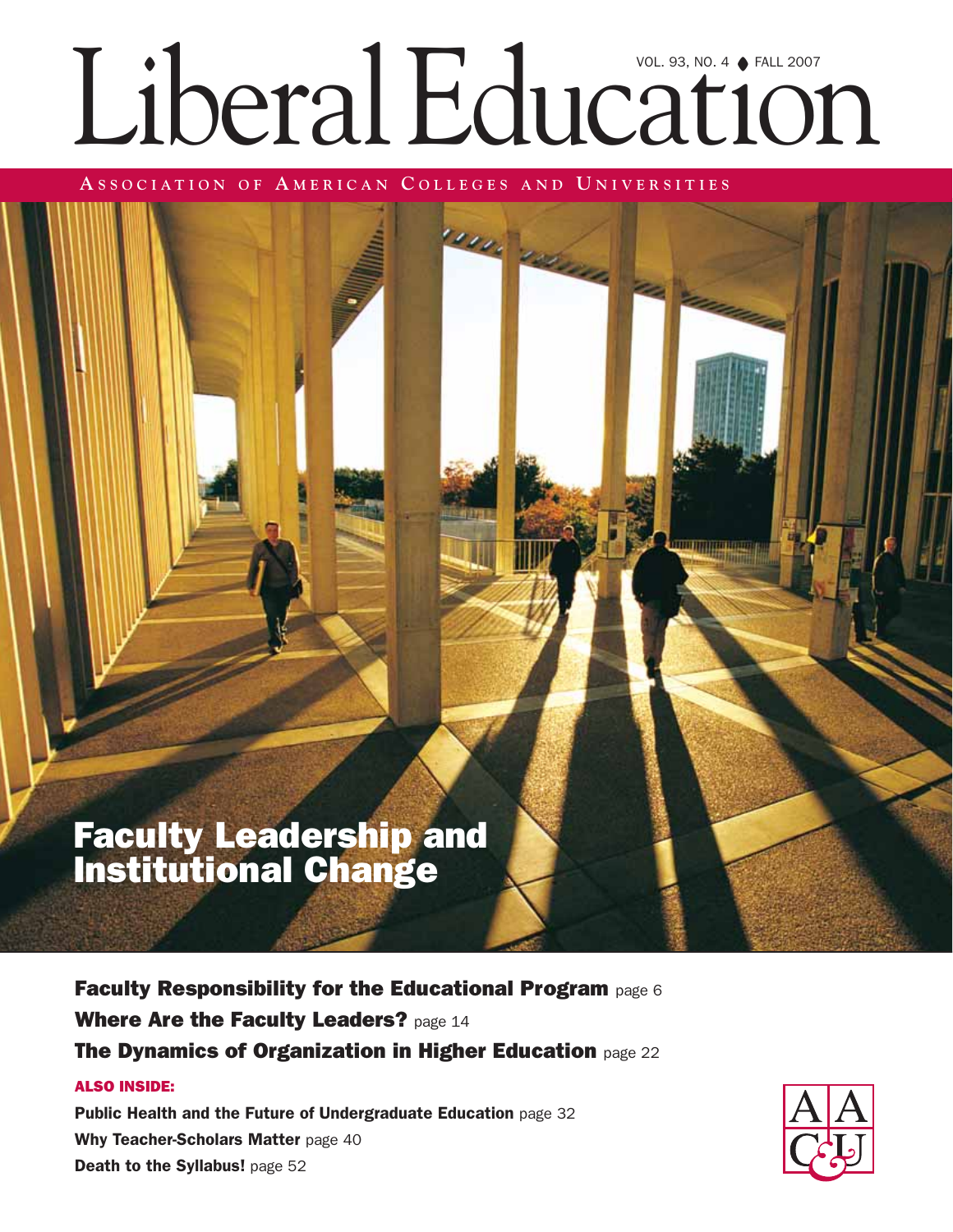# Liberal Education

**University** 

**A SSOCIATION OF A MERICAN C OLLEGES AND U NIVERSITIES**

### Faculty Leadership and Institutional Change

Faculty Responsibility for the Educational Program page 6 Where Are the Faculty Leaders? page 14 The Dynamics of Organization in Higher Education page 22

#### ALSO INSIDE:

Public Health and the Future of Undergraduate Education page 32 Why Teacher-Scholars Matter page 40 Death to the Syllabus! page 52

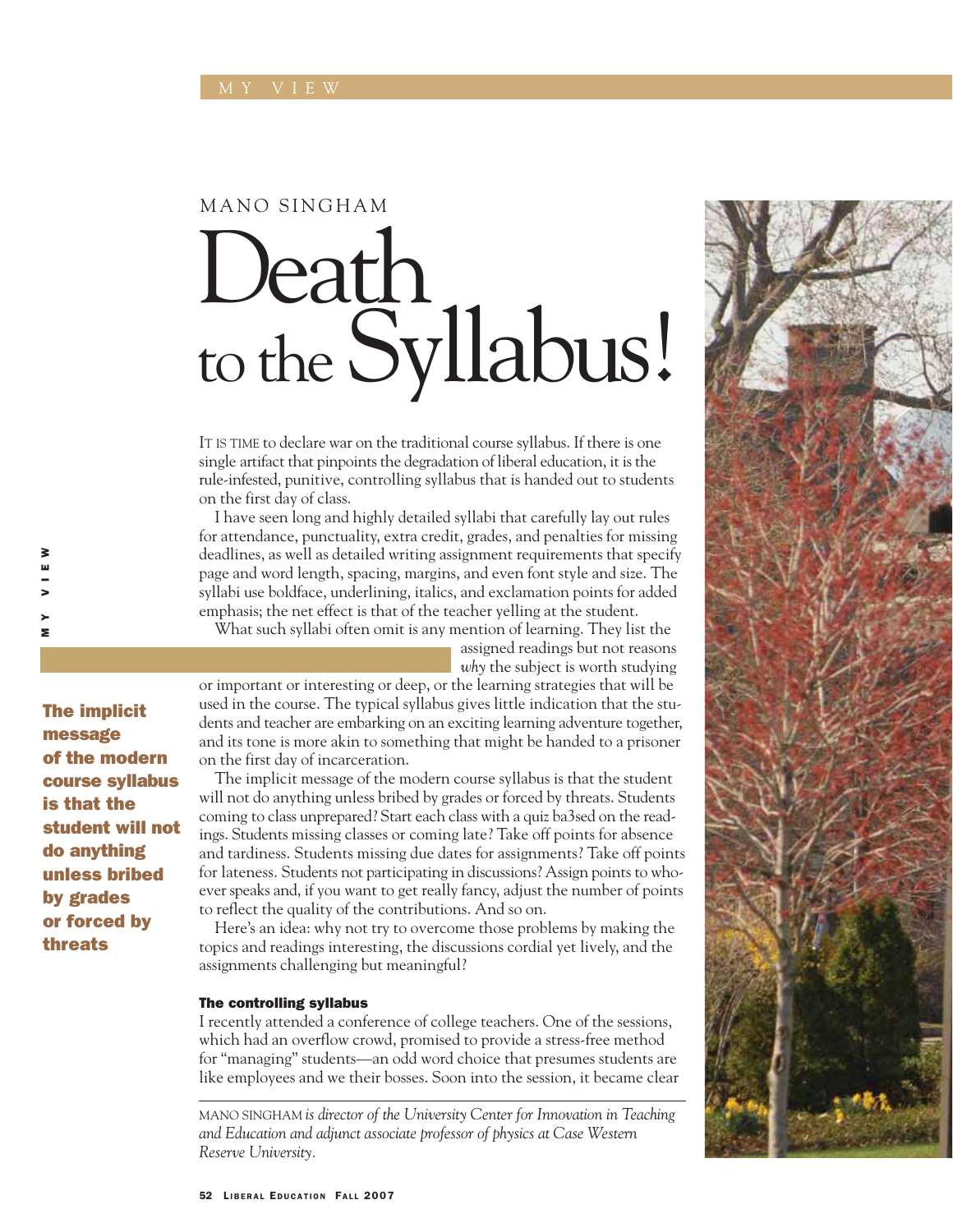#### MANO SINGHAM

## Death, to the Syllabus!

IT IS TIME to declare war on the traditional course syllabus. If there is one single artifact that pinpoints the degradation of liberal education, it is the rule-infested, punitive, controlling syllabus that is handed out to students on the first day of class.

I have seen long and highly detailed syllabi that carefully lay out rules for attendance, punctuality, extra credit, grades, and penalties for missing deadlines, as well as detailed writing assignment requirements that specify page and word length, spacing, margins, and even font style and size. The syllabi use boldface, underlining, italics, and exclamation points for added emphasis; the net effect is that of the teacher yelling at the student.

What such syllabi often omit is any mention of learning. They list the

assigned readings but not reasons *why* the subject is worth studying

or important or interesting or deep, or the learning strategies that will be used in the course. The typical syllabus gives little indication that the students and teacher are embarking on an exciting learning adventure together, and its tone is more akin to something that might be handed to a prisoner on the first day of incarceration.

The implicit message of the modern course syllabus is that the student will not do anything unless bribed by grades or forced by threats. Students coming to class unprepared? Start each class with a quiz ba3sed on the readings. Students missing classes or coming late? Take off points for absence and tardiness. Students missing due dates for assignments? Take off points for lateness. Students not participating in discussions? Assign points to whoever speaks and, if you want to get really fancy, adjust the number of points to reflect the quality of the contributions. And so on.

Here's an idea: why not try to overcome those problems by making the topics and readings interesting, the discussions cordial yet lively, and the assignments challenging but meaningful?

#### The controlling syllabus

I recently attended a conference of college teachers. One of the sessions, which had an overflow crowd, promised to provide a stress-free method for "managing" students—an odd word choice that presumes students are like employees and we their bosses. Soon into the session, it became clear

MANO SINGHAM *is director of the University Center for Innovation in Teaching and Education and adjunct associate professor of physics at Case Western Reserve University.*



The implicit message of the modern course syllabus is that the student will not do anything unless bribed by grades or forced by threats

MY VIEW

> **s** 

₹ ш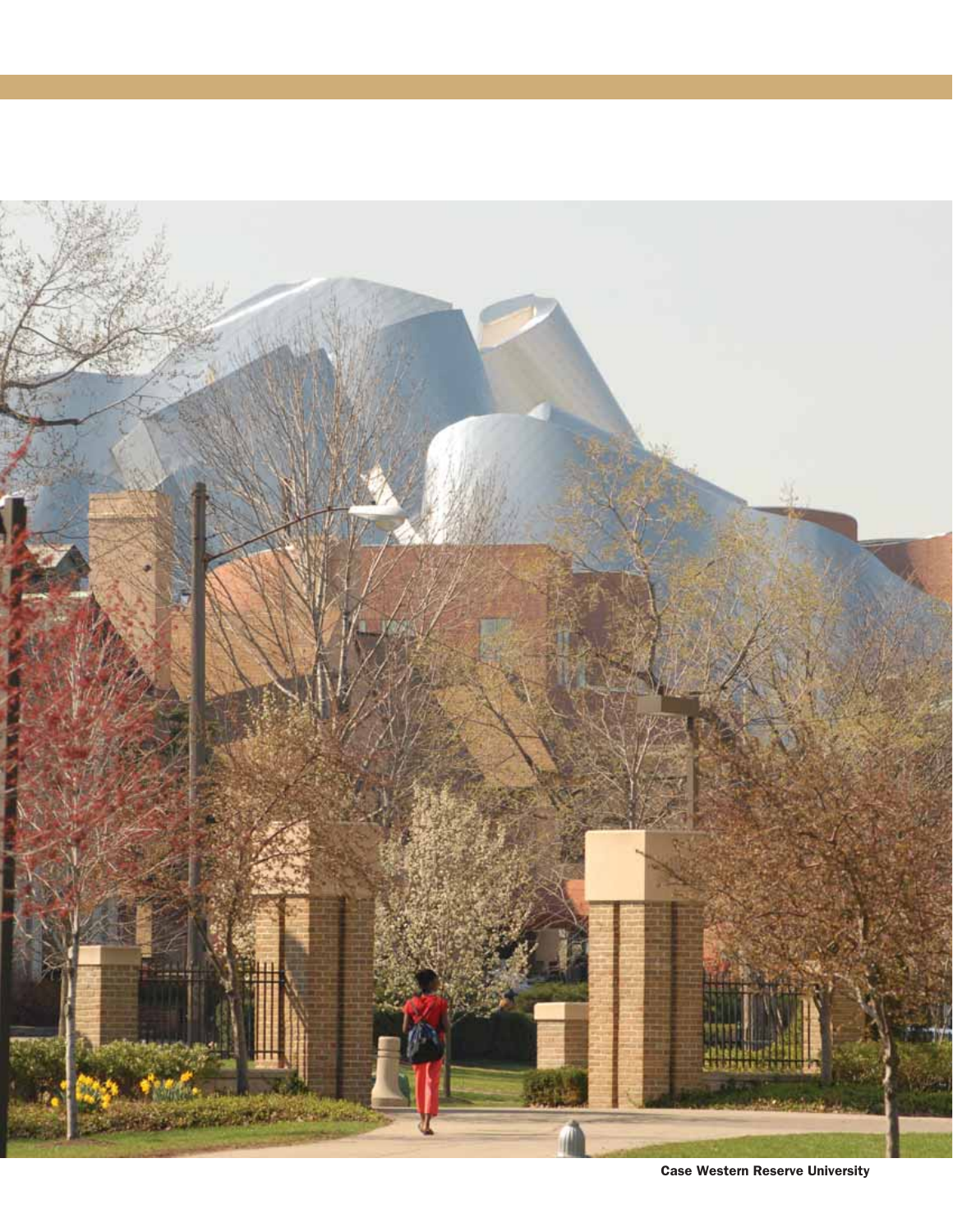

Case Western Reserve University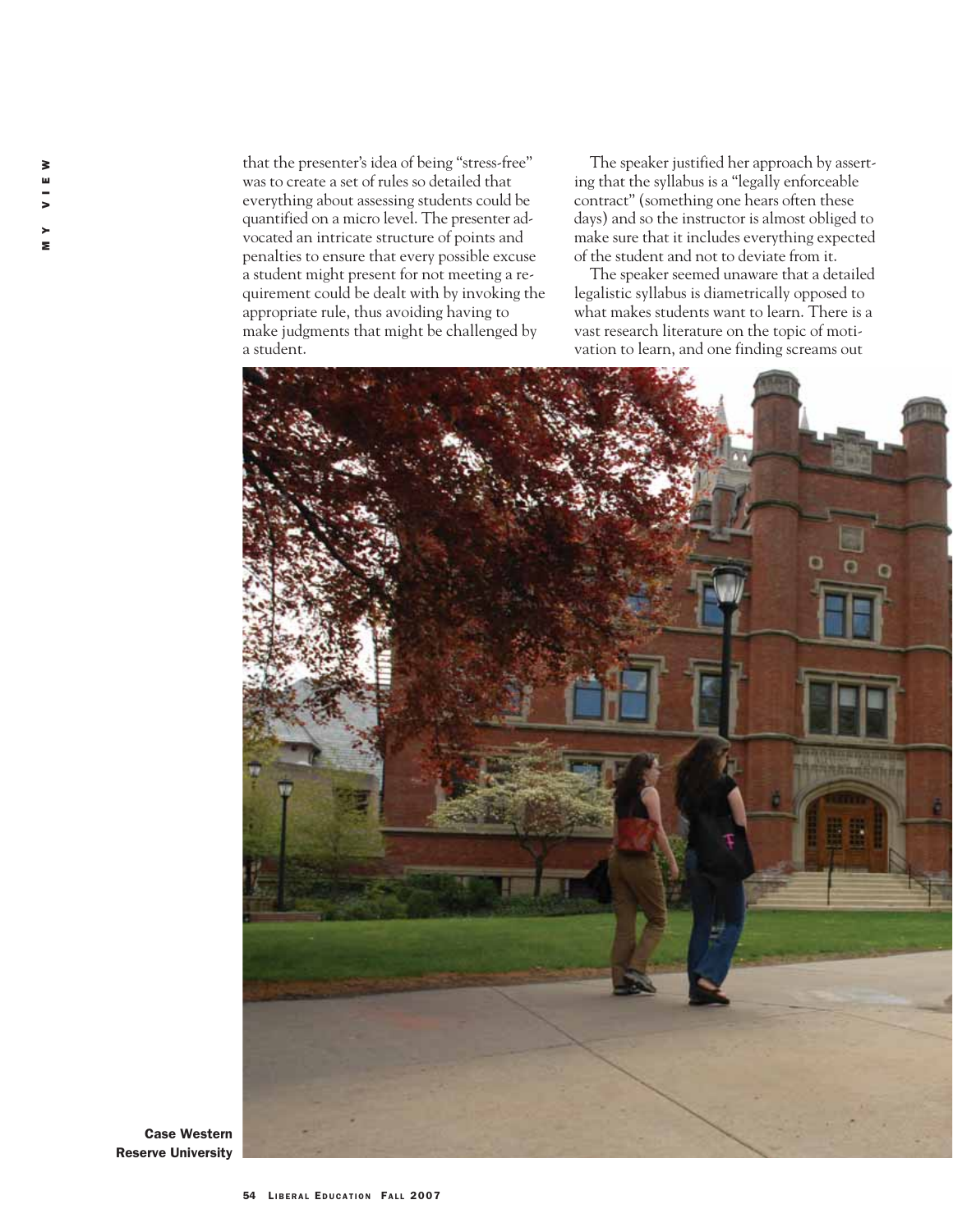that the presenter's idea of being "stress-free" was to create a set of rules so detailed that everything about assessing students could be quantified on a micro level. The presenter advocated an intricate structure of points and penalties to ensure that every possible excuse a student might present for not meeting a requirement could be dealt with by invoking the appropriate rule, thus avoiding having to make judgments that might be challenged by a student.

The speaker justified her approach by asserting that the syllabus is a "legally enforceable contract" (something one hears often these days) and so the instructor is almost obliged to make sure that it includes everything expected of the student and not to deviate from it.

The speaker seemed unaware that a detailed legalistic syllabus is diametrically opposed to what makes students want to learn. There is a vast research literature on the topic of motivation to learn, and one finding screams out



Case Western Reserve University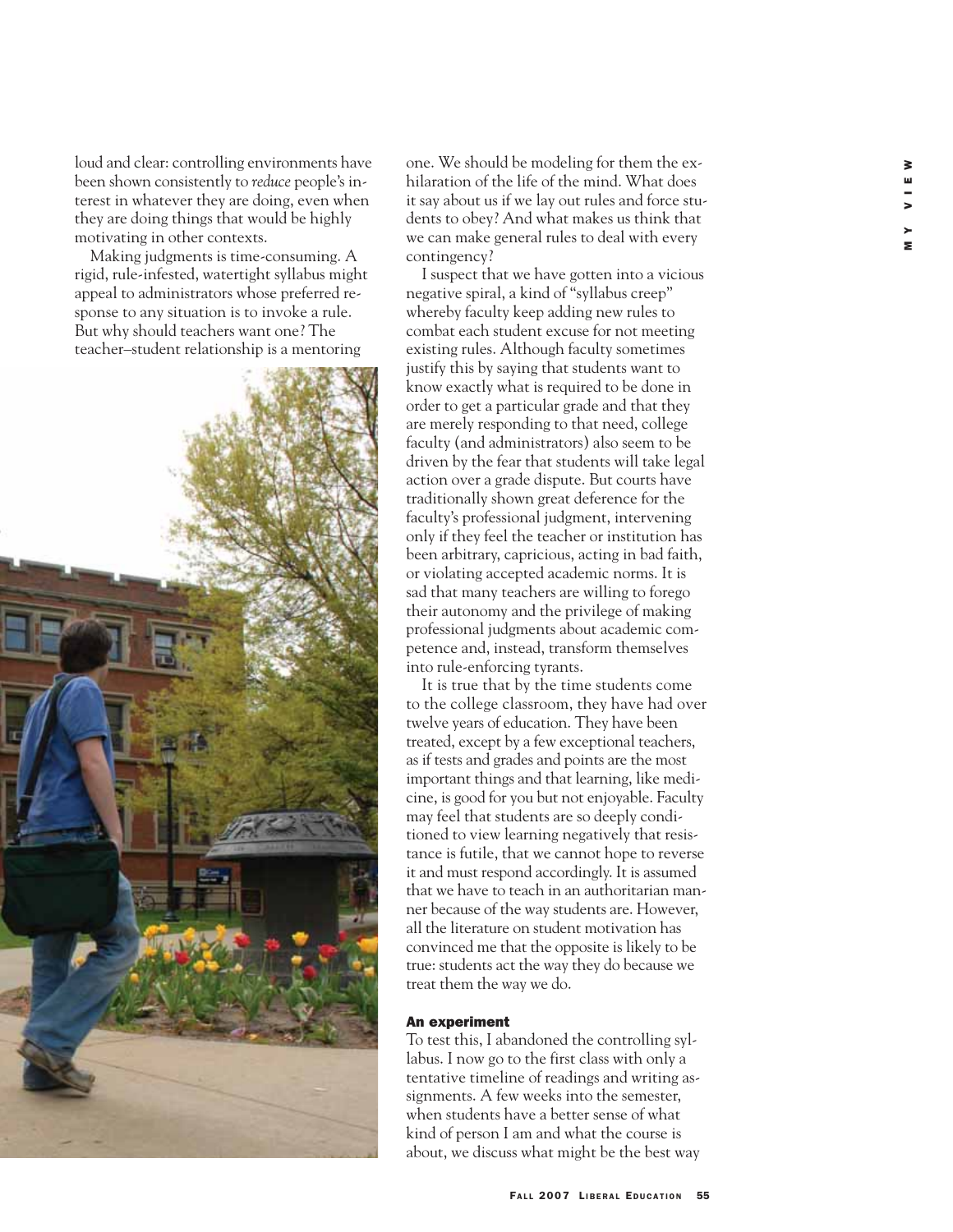loud and clear: controlling environments have been shown consistently to *reduce* people's interest in whatever they are doing, even when they are doing things that would be highly motivating in other contexts.

Making judgments is time-consuming. A rigid, rule-infested, watertight syllabus might appeal to administrators whose preferred response to any situation is to invoke a rule. But why should teachers want one? The teacher–student relationship is a mentoring



one. We should be modeling for them the exhilaration of the life of the mind. What does it say about us if we lay out rules and force students to obey? And what makes us think that we can make general rules to deal with every contingency?

I suspect that we have gotten into a vicious negative spiral, a kind of "syllabus creep" whereby faculty keep adding new rules to combat each student excuse for not meeting existing rules. Although faculty sometimes justify this by saying that students want to know exactly what is required to be done in order to get a particular grade and that they are merely responding to that need, college faculty (and administrators) also seem to be driven by the fear that students will take legal action over a grade dispute. But courts have traditionally shown great deference for the faculty's professional judgment, intervening only if they feel the teacher or institution has been arbitrary, capricious, acting in bad faith, or violating accepted academic norms. It is sad that many teachers are willing to forego their autonomy and the privilege of making professional judgments about academic competence and, instead, transform themselves into rule-enforcing tyrants.

It is true that by the time students come to the college classroom, they have had over twelve years of education. They have been treated, except by a few exceptional teachers, as if tests and grades and points are the most important things and that learning, like medicine, is good for you but not enjoyable. Faculty may feel that students are so deeply conditioned to view learning negatively that resistance is futile, that we cannot hope to reverse it and must respond accordingly. It is assumed that we have to teach in an authoritarian manner because of the way students are. However, all the literature on student motivation has convinced me that the opposite is likely to be true: students act the way they do because we treat them the way we do.

#### An experiment

To test this, I abandoned the controlling syllabus. I now go to the first class with only a tentative timeline of readings and writing assignments. A few weeks into the semester, when students have a better sense of what kind of person I am and what the course is about, we discuss what might be the best way